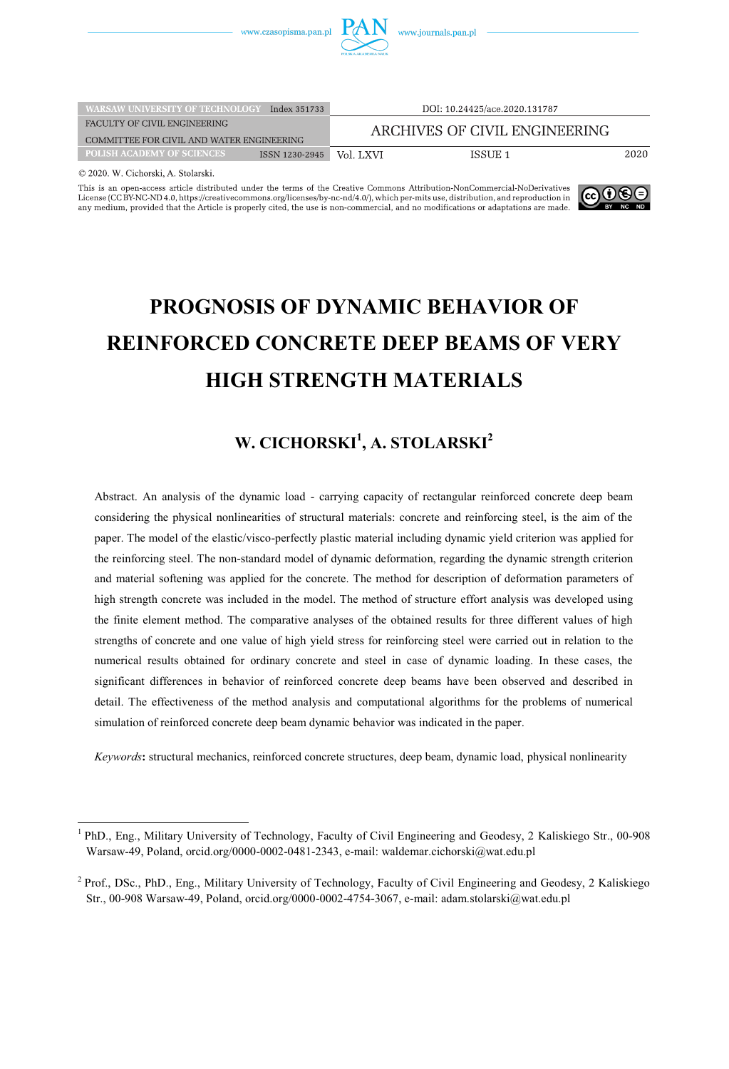

| <b>WARSAW UNIVERSITY OF TECHNOLOGY</b>    | Index 351733   | DOI: 10.24425/ace.2020.131787 |         |      |  |  |
|-------------------------------------------|----------------|-------------------------------|---------|------|--|--|
| FACULTY OF CIVIL ENGINEERING              |                | ARCHIVES OF CIVIL ENGINEERING |         |      |  |  |
| COMMITTEE FOR CIVIL AND WATER ENGINEERING |                |                               |         |      |  |  |
| <b>POLISH ACADEMY OF SCIENCES</b>         | ISSN 1230-2945 | Vol. LXVI                     | ISSUE 1 | 2020 |  |  |
| @ 2020 W Cicharoki A Stolaroki            |                |                               |         |      |  |  |

 $\overline{a}$ 

This is an open-access article distributed under the terms of the Creative Commons Attribution-NonCommercial-NoDerivatives License (CC BY-NC-ND 4.0, https://creativecommons.org/licenses/by-nc-nd/4.0/), which per-mits use, distribution, and reproduction in any medium, provided that the Article is properly cited, the use is non-commercial, and n



# **PROGNOSIS OF DYNAMIC BEHAVIOR OF REINFORCED CONCRETE DEEP BEAMS OF VERY HIGH STRENGTH MATERIALS**

## W. CICHORSKI<sup>1</sup>, A. STOLARSKI<sup>2</sup>

Abstract. An analysis of the dynamic load - carrying capacity of rectangular reinforced concrete deep beam considering the physical nonlinearities of structural materials: concrete and reinforcing steel, is the aim of the paper. The model of the elastic/visco-perfectly plastic material including dynamic yield criterion was applied for the reinforcing steel. The non-standard model of dynamic deformation, regarding the dynamic strength criterion and material softening was applied for the concrete. The method for description of deformation parameters of high strength concrete was included in the model. The method of structure effort analysis was developed using the finite element method. The comparative analyses of the obtained results for three different values of high strengths of concrete and one value of high yield stress for reinforcing steel were carried out in relation to the numerical results obtained for ordinary concrete and steel in case of dynamic loading. In these cases, the significant differences in behavior of reinforced concrete deep beams have been observed and described in detail. The effectiveness of the method analysis and computational algorithms for the problems of numerical simulation of reinforced concrete deep beam dynamic behavior was indicated in the paper.

*Keywords***:** structural mechanics, reinforced concrete structures, deep beam, dynamic load, physical nonlinearity

<sup>&</sup>lt;sup>1</sup> PhD., Eng., Military University of Technology, Faculty of Civil Engineering and Geodesy, 2 Kaliskiego Str., 00-908 Warsaw-49, Poland, orcid.org/0000-0002-0481-2343, e-mail: waldemar.cichorski@wat.edu.pl

<sup>&</sup>lt;sup>2</sup> Prof., DSc., PhD., Eng., Military University of Technology, Faculty of Civil Engineering and Geodesy, 2 Kaliskiego Str., 00-908 Warsaw-49, Poland, orcid.org/0000-0002-4754-3067, e-mail: adam.stolarski@wat.edu.pl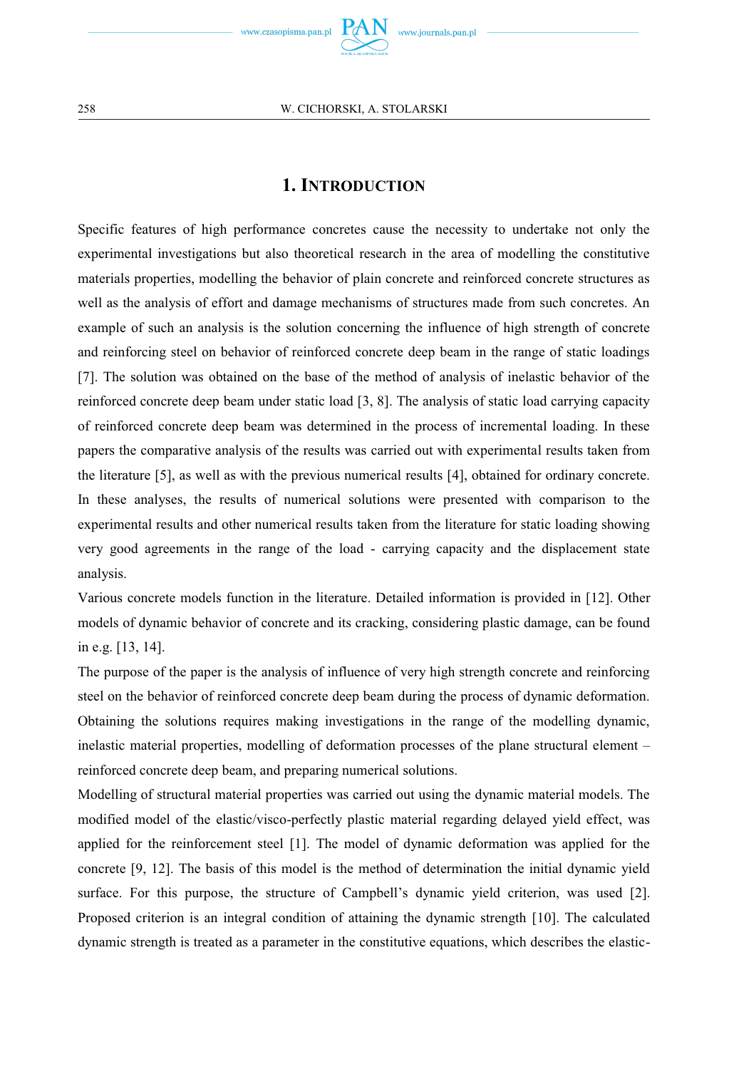

## **1. INTRODUCTION**

Specific features of high performance concretes cause the necessity to undertake not only the experimental investigations but also theoretical research in the area of modelling the constitutive materials properties, modelling the behavior of plain concrete and reinforced concrete structures as well as the analysis of effort and damage mechanisms of structures made from such concretes. An example of such an analysis is the solution concerning the influence of high strength of concrete and reinforcing steel on behavior of reinforced concrete deep beam in the range of static loadings [7]. The solution was obtained on the base of the method of analysis of inelastic behavior of the reinforced concrete deep beam under static load [3, 8]. The analysis of static load carrying capacity of reinforced concrete deep beam was determined in the process of incremental loading. In these papers the comparative analysis of the results was carried out with experimental results taken from the literature [5], as well as with the previous numerical results [4], obtained for ordinary concrete. In these analyses, the results of numerical solutions were presented with comparison to the experimental results and other numerical results taken from the literature for static loading showing very good agreements in the range of the load - carrying capacity and the displacement state analysis.

Various concrete models function in the literature. Detailed information is provided in [12]. Other models of dynamic behavior of concrete and its cracking, considering plastic damage, can be found in e.g. [13, 14].

The purpose of the paper is the analysis of influence of very high strength concrete and reinforcing steel on the behavior of reinforced concrete deep beam during the process of dynamic deformation. Obtaining the solutions requires making investigations in the range of the modelling dynamic, inelastic material properties, modelling of deformation processes of the plane structural element – reinforced concrete deep beam, and preparing numerical solutions.

Modelling of structural material properties was carried out using the dynamic material models. The modified model of the elastic/visco-perfectly plastic material regarding delayed yield effect, was applied for the reinforcement steel [1]. The model of dynamic deformation was applied for the concrete [9, 12]. The basis of this model is the method of determination the initial dynamic yield surface. For this purpose, the structure of Campbell's dynamic yield criterion, was used [2]. Proposed criterion is an integral condition of attaining the dynamic strength [10]. The calculated dynamic strength is treated as a parameter in the constitutive equations, which describes the elastic-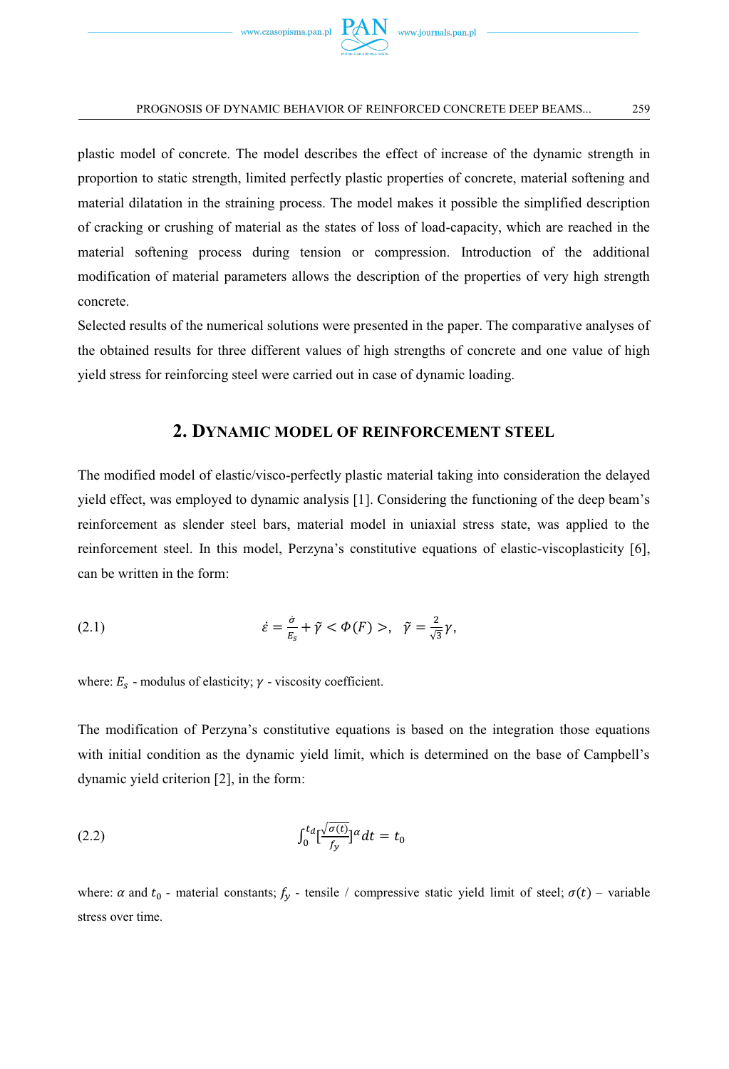

plastic model of concrete. The model describes the effect of increase of the dynamic strength in proportion to static strength, limited perfectly plastic properties of concrete, material softening and material dilatation in the straining process. The model makes it possible the simplified description of cracking or crushing of material as the states of loss of load-capacity, which are reached in the material softening process during tension or compression. Introduction of the additional modification of material parameters allows the description of the properties of very high strength concrete.

Selected results of the numerical solutions were presented in the paper. The comparative analyses of the obtained results for three different values of high strengths of concrete and one value of high yield stress for reinforcing steel were carried out in case of dynamic loading.

## **2. DYNAMIC MODEL OF REINFORCEMENT STEEL**

The modified model of elastic/visco-perfectly plastic material taking into consideration the delayed yield effect, was employed to dynamic analysis [1]. Considering the functioning of the deep beam's reinforcement as slender steel bars, material model in uniaxial stress state, was applied to the reinforcement steel. In this model, Perzyna's constitutive equations of elastic-viscoplasticity [6], can be written in the form:

(2.1) 
$$
\dot{\varepsilon} = \frac{\dot{\sigma}}{E_s} + \tilde{\gamma} < \Phi(F) > , \quad \tilde{\gamma} = \frac{2}{\sqrt{3}} \gamma,
$$

where:  $E_s$  - modulus of elasticity;  $\gamma$  - viscosity coefficient.

The modification of Perzyna's constitutive equations is based on the integration those equations with initial condition as the dynamic yield limit, which is determined on the base of Campbell's dynamic yield criterion [2], in the form:

$$
\int_0^t \left[\frac{\sqrt{\sigma(t)}}{f_y}\right]^\alpha dt = t_0
$$

where:  $\alpha$  and  $t_0$  - material constants;  $f_y$  - tensile / compressive static yield limit of steel;  $\sigma(t)$  – variable stress over time.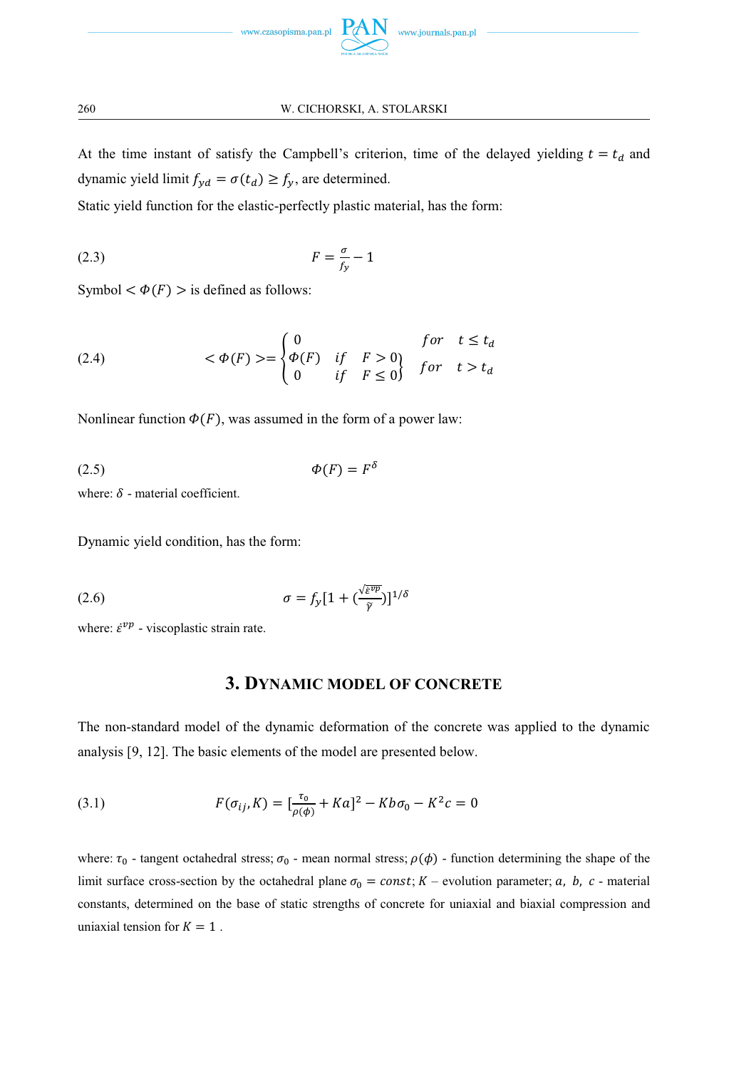

At the time instant of satisfy the Campbell's criterion, time of the delayed yielding  $t = t_d$  and dynamic yield limit  $f_{yd} = \sigma(t_d) \ge f_y$ , are determined.

Static yield function for the elastic-perfectly plastic material, has the form:

$$
F = \frac{\sigma}{f_y} - 1
$$

Symbol  $< \Phi(F) >$  is defined as follows:

(2.4) 
$$
\langle \Phi(F) \rangle = \begin{cases} 0 & \text{for } t \leq t_d \\ \Phi(F) & \text{if } F > 0 \\ 0 & \text{if } F \leq 0 \end{cases} \quad \text{for } t > t_d
$$

Nonlinear function  $\Phi(F)$ , was assumed in the form of a power law:

$$
\Phi(F) = F^{\delta}
$$

where:  $\delta$  - material coefficient.

Dynamic yield condition, has the form:

(2.6) 
$$
\sigma = f_{y} [1 + (\frac{\sqrt{\varepsilon^{\nu p}}}{\tilde{y}})]^{1/\delta}
$$

where:  $\dot{\varepsilon}^{vp}$  - viscoplastic strain rate.

## **3. DYNAMIC MODEL OF CONCRETE**

The non-standard model of the dynamic deformation of the concrete was applied to the dynamic analysis [9, 12]. The basic elements of the model are presented below.

(3.1) 
$$
F(\sigma_{ij}, K) = \left[\frac{\tau_0}{\rho(\phi)} + Ka\right]^2 - Kb\sigma_0 - K^2c = 0
$$

where:  $\tau_0$  - tangent octahedral stress;  $\sigma_0$  - mean normal stress;  $\rho(\phi)$  - function determining the shape of the limit surface cross-section by the octahedral plane  $\sigma_0 = const$ ;  $K$  – evolution parameter;  $a$ ,  $b$ ,  $c$  - material constants, determined on the base of static strengths of concrete for uniaxial and biaxial compression and uniaxial tension for  $K = 1$ .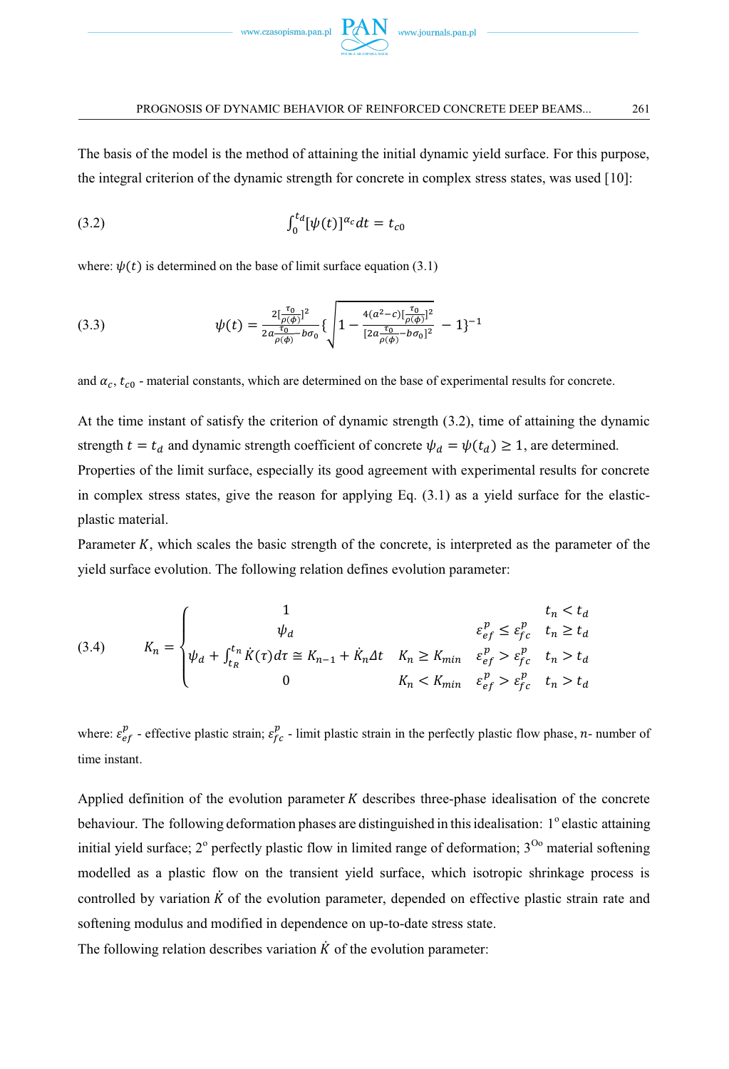

The basis of the model is the method of attaining the initial dynamic yield surface. For this purpose, the integral criterion of the dynamic strength for concrete in complex stress states, was used [10]:

$$
\int_0^{t_d} [\psi(t)]^{\alpha_c} dt = t_{c0}
$$

where:  $\psi(t)$  is determined on the base of limit surface equation (3.1)

(3.3) 
$$
\psi(t) = \frac{2[\frac{\tau_0}{\rho(\phi)}]^2}{2a\frac{\tau_0}{\rho(\phi)} - b\sigma_0} \left\{ \sqrt{1 - \frac{4(a^2 - c)[\frac{\tau_0}{\rho(\phi)}]^2}{[2a\frac{\tau_0}{\rho(\phi)} - b\sigma_0]^2}} - 1 \right\}^{-1}
$$

and  $\alpha_c$ ,  $t_{c0}$  - material constants, which are determined on the base of experimental results for concrete.

At the time instant of satisfy the criterion of dynamic strength (3.2), time of attaining the dynamic strength  $t = t_d$  and dynamic strength coefficient of concrete  $\psi_d = \psi(t_d) \geq 1$ , are determined. Properties of the limit surface, especially its good agreement with experimental results for concrete in complex stress states, give the reason for applying Eq.  $(3.1)$  as a yield surface for the elasticplastic material.

Parameter  $K$ , which scales the basic strength of the concrete, is interpreted as the parameter of the yield surface evolution. The following relation defines evolution parameter:

(3.4) 
$$
K_{n} = \begin{cases} 1 & t_{n} < t_{d} \\ \psi_{d} & \varepsilon_{ef}^{p} \leq \varepsilon_{fc}^{p} & t_{n} \geq t_{d} \\ \psi_{d} + \int_{t_{R}}^{t_{n}} \dot{K}(\tau) d\tau \cong K_{n-1} + \dot{K}_{n} \Delta t & K_{n} \geq K_{min} & \varepsilon_{ef}^{p} > \varepsilon_{fc}^{p} & t_{n} > t_{d} \\ 0 & K_{n} < K_{min} & \varepsilon_{ef}^{p} > \varepsilon_{fc}^{p} & t_{n} > t_{d} \end{cases}
$$

where:  $\varepsilon_{ef}^p$  - effective plastic strain;  $\varepsilon_{fc}^p$  - limit plastic strain in the perfectly plastic flow phase, *n*- number of time instant.

Applied definition of the evolution parameter  $K$  describes three-phase idealisation of the concrete behaviour. The following deformation phases are distinguished in this idealisation: 1° elastic attaining initial yield surface;  $2^{\circ}$  perfectly plastic flow in limited range of deformation;  $3^{0\circ}$  material softening modelled as a plastic flow on the transient yield surface, which isotropic shrinkage process is controlled by variation  $\vec{K}$  of the evolution parameter, depended on effective plastic strain rate and softening modulus and modified in dependence on up-to-date stress state.

The following relation describes variation  $\dot{K}$  of the evolution parameter: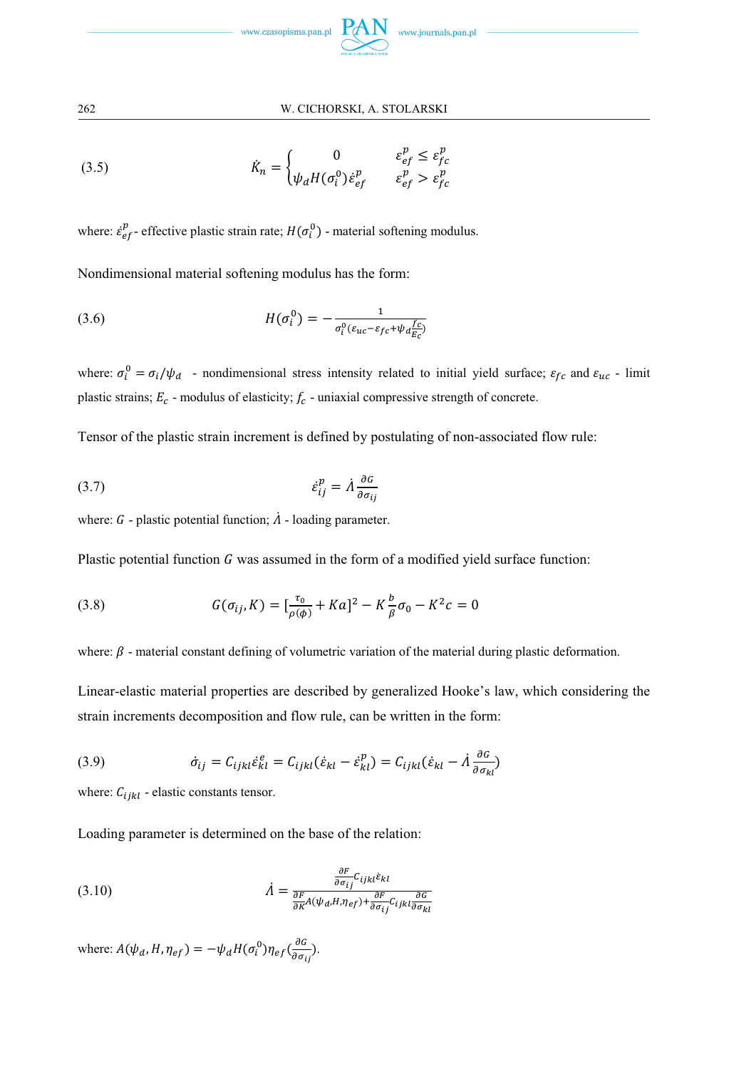

(3.5) 
$$
\dot{K}_n = \begin{cases} 0 & \varepsilon_{ef}^p \le \varepsilon_{fc}^p\\ \psi_d H(\sigma_i^0) \dot{\varepsilon}_{ef}^p & \varepsilon_{ef}^p > \varepsilon_{fc}^p \end{cases}
$$

where:  $\dot{\epsilon}_{ef}^p$ - effective plastic strain rate;  $H(\sigma_i^0)$  - material softening modulus.

Nondimensional material softening modulus has the form:

(3.6) 
$$
H(\sigma_i^0) = -\frac{1}{\sigma_i^0(\varepsilon_{uc}-\varepsilon_{fc}+\psi_d\frac{fc}{E_c})}
$$

where:  $\sigma_i^0 = \sigma_i/\psi_d$  - nondimensional stress intensity related to initial yield surface;  $\varepsilon_{fc}$  and  $\varepsilon_{uc}$  - limit plastic strains;  $E_c$  - modulus of elasticity;  $f_c$  - uniaxial compressive strength of concrete.

Tensor of the plastic strain increment is defined by postulating of non-associated flow rule:

$$
\dot{\varepsilon}_{ij}^p = \dot{\Lambda} \frac{\partial \varepsilon}{\partial \sigma_{ij}}
$$

where:  $G$  - plastic potential function;  $\Lambda$  - loading parameter.

Plastic potential function  $G$  was assumed in the form of a modified yield surface function:

(3.8) 
$$
G(\sigma_{ij}, K) = \left[\frac{\tau_0}{\rho(\phi)} + Ka\right]^2 - K\frac{b}{\beta}\sigma_0 - K^2c = 0
$$

where:  $\beta$  - material constant defining of volumetric variation of the material during plastic deformation.

Linear-elastic material properties are described by generalized Hooke's law, which considering the strain increments decomposition and flow rule, can be written in the form:

(3.9) 
$$
\dot{\sigma}_{ij} = C_{ijkl}\dot{\varepsilon}_{kl}^e = C_{ijkl}(\dot{\varepsilon}_{kl} - \dot{\varepsilon}_{kl}^p) = C_{ijkl}(\dot{\varepsilon}_{kl} - \dot{\varepsilon}_{\partial \sigma_{kl}}^q)
$$

where:  $C_{ijkl}$  - elastic constants tensor.

Loading parameter is determined on the base of the relation:

(3.10) 
$$
\dot{\Lambda} = \frac{\frac{\partial F}{\partial \sigma_{ij}} C_{ijkl} \varepsilon_{kl}}{\frac{\partial F}{\partial K} A(\psi_d, H, \eta_{ef}) + \frac{\partial F}{\partial \sigma_{ij}} C_{ijkl} \frac{\partial G}{\partial \sigma_{kl}}}
$$

where:  $A(\psi_d, H, \eta_{ef}) = -\psi_d H(\sigma_i^0) \eta_{ef} (\frac{\partial G}{\partial \sigma_{ij}})$ .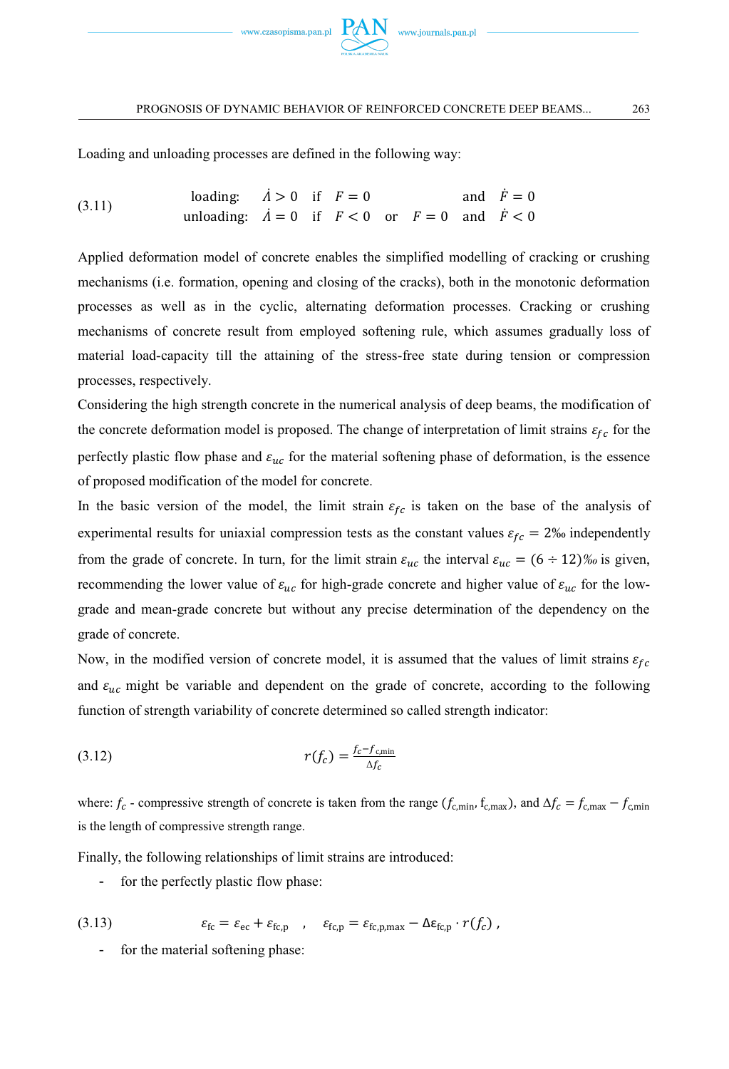

Loading and unloading processes are defined in the following way:

(3.11) loading: 
$$
\dot{A} > 0
$$
 if  $F = 0$  and  $\dot{F} = 0$   
unloading:  $\dot{A} = 0$  if  $F < 0$  or  $F = 0$  and  $\dot{F} < 0$ 

Applied deformation model of concrete enables the simplified modelling of cracking or crushing mechanisms (i.e. formation, opening and closing of the cracks), both in the monotonic deformation processes as well as in the cyclic, alternating deformation processes. Cracking or crushing mechanisms of concrete result from employed softening rule, which assumes gradually loss of material load-capacity till the attaining of the stress-free state during tension or compression processes, respectively.

Considering the high strength concrete in the numerical analysis of deep beams, the modification of the concrete deformation model is proposed. The change of interpretation of limit strains  $\varepsilon_{fc}$  for the perfectly plastic flow phase and  $\varepsilon_{uc}$  for the material softening phase of deformation, is the essence of proposed modification of the model for concrete.

In the basic version of the model, the limit strain  $\varepsilon_{fc}$  is taken on the base of the analysis of experimental results for uniaxial compression tests as the constant values  $\varepsilon_{fc} = 2\%$  independently from the grade of concrete. In turn, for the limit strain  $\varepsilon_{uc}$  the interval  $\varepsilon_{uc} = (6 \div 12)\%$  is given, recommending the lower value of  $\varepsilon_{uc}$  for high-grade concrete and higher value of  $\varepsilon_{uc}$  for the lowgrade and mean-grade concrete but without any precise determination of the dependency on the grade of concrete.

Now, in the modified version of concrete model, it is assumed that the values of limit strains  $\varepsilon_{fc}$ and  $\varepsilon_{uc}$  might be variable and dependent on the grade of concrete, according to the following function of strength variability of concrete determined so called strength indicator:

$$
r(f_c) = \frac{f_c - f_{c,\min}}{\Delta f_c}
$$

where:  $f_c$  - compressive strength of concrete is taken from the range  $(f_{c,min}, f_{c,max})$ , and  $\Delta f_c = f_{c,max} - f_{c,min}$ is the length of compressive strength range.

Finally, the following relationships of limit strains are introduced:

- for the perfectly plastic flow phase:

(3.13) 
$$
\varepsilon_{\text{fc}} = \varepsilon_{\text{ec}} + \varepsilon_{\text{fc,p}} \quad , \quad \varepsilon_{\text{fc,p}} = \varepsilon_{\text{fc,p,max}} - \Delta \varepsilon_{\text{fc,p}} \cdot r(f_c) ,
$$

for the material softening phase: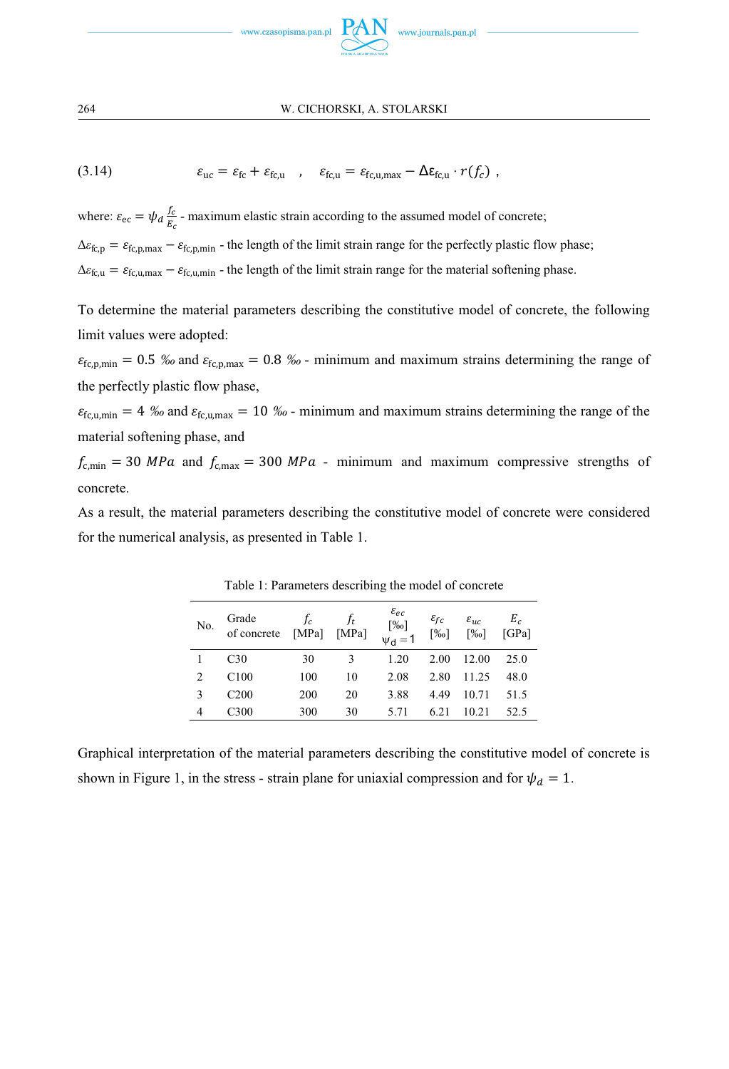

(3.14)  $\varepsilon_{\text{uc}} = \varepsilon_{\text{fc}} + \varepsilon_{\text{fc.u}}$ ,  $\varepsilon_{\text{fc.u}} = \varepsilon_{\text{fc.u.max}} - \Delta \varepsilon_{\text{fc.u}} \cdot r(f_c)$ ,

where:  $\varepsilon_{\text{ec}} = \psi_d \frac{f_c}{E_c}$  $\frac{I_c}{E_c}$  - maximum elastic strain according to the assumed model of concrete;  $\Delta\varepsilon_{fc,p} = \varepsilon_{fc,p,\text{max}} - \varepsilon_{fc,p,\text{min}}$  - the length of the limit strain range for the perfectly plastic flow phase;

 $\Delta \varepsilon_{f c,u} = \varepsilon_{f c,u,max} - \varepsilon_{f c,u,min}$  - the length of the limit strain range for the material softening phase.

To determine the material parameters describing the constitutive model of concrete, the following limit values were adopted:

 $\varepsilon_{\text{fc,p,min}} = 0.5$  ‰ and  $\varepsilon_{\text{fc,p,max}} = 0.8$  ‰ - minimum and maximum strains determining the range of the perfectly plastic flow phase,

 $\varepsilon_{\text{fc.}u,min}$  = 4 ‰ and  $\varepsilon_{\text{fc.}u,max}$  = 10 ‰ - minimum and maximum strains determining the range of the material softening phase, and

 $f_{\text{c,min}} = 30 \text{ MPa}$  and  $f_{\text{c,max}} = 300 \text{ MPa}$  - minimum and maximum compressive strengths of concrete.

As a result, the material parameters describing the constitutive model of concrete were considered for the numerical analysis, as presented in Table 1.

| No. | Grade<br>of concrete | $f_c$<br>[MPa] | $f_t$<br>[MPa] | $\varepsilon_{ec}$<br>$\begin{bmatrix}\%_{0}\%_{1}\%_{2}\end{bmatrix}$<br>$\psi_{d} = 1$ | $\varepsilon_{fc}$<br>[%] | $\varepsilon_{uc}$<br>[%] | $E_c$<br>[GPa] |
|-----|----------------------|----------------|----------------|------------------------------------------------------------------------------------------|---------------------------|---------------------------|----------------|
|     | C <sub>30</sub>      | 30             | 3              | 1.20                                                                                     | 2.00                      | 12.00                     | 25.0           |
| 2   | C100                 | 100            | 10             | 2.08                                                                                     | 2.80                      | 11.25                     | 48.0           |
| 3   | C <sub>200</sub>     | 200            | 20             | 3.88                                                                                     | 4.49                      | 10.71                     | 51.5           |
|     | C <sub>300</sub>     | 300            | 30             | 5.71                                                                                     | 6.21                      | 10.21                     | 52.5           |

Table 1: Parameters describing the model of concrete

Graphical interpretation of the material parameters describing the constitutive model of concrete is shown in Figure 1, in the stress - strain plane for uniaxial compression and for  $\psi_d = 1$ .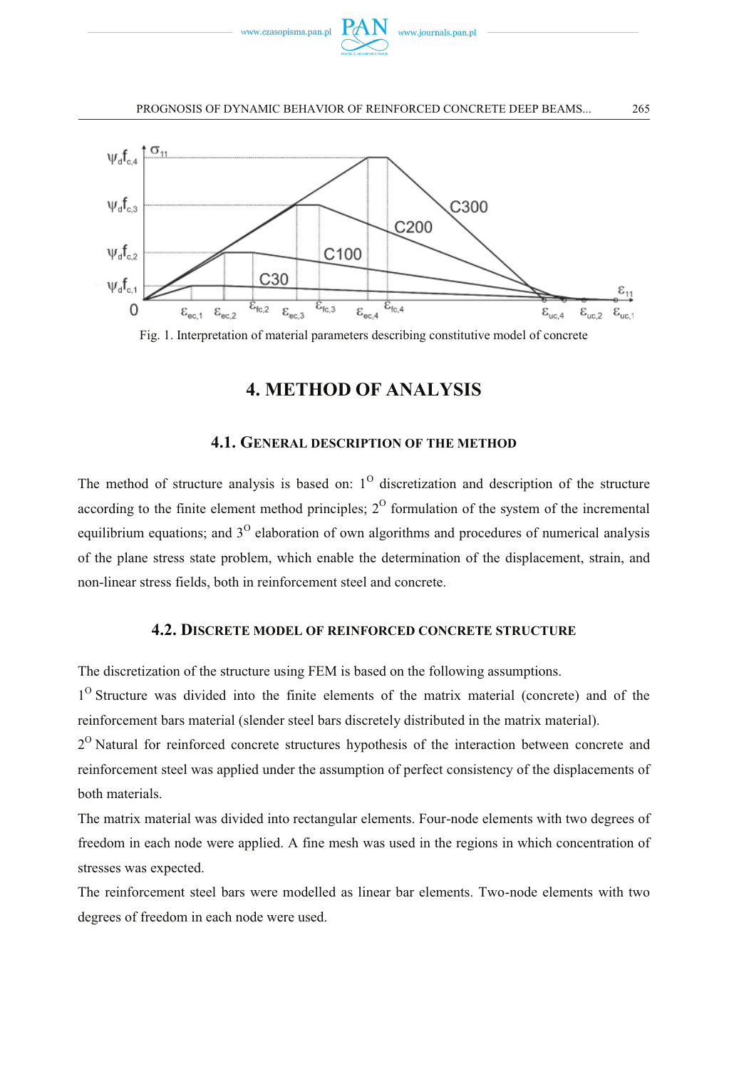



Fig. 1. Interpretation of material parameters describing constitutive model of concrete

## **4. METHOD OF ANALYSIS**

## **4.1. GENERAL DESCRIPTION OF THE METHOD**

The method of structure analysis is based on:  $1^{\circ}$  discretization and description of the structure according to the finite element method principles;  $2^{\circ}$  formulation of the system of the incremental equilibrium equations; and  $3<sup>0</sup>$  elaboration of own algorithms and procedures of numerical analysis of the plane stress state problem, which enable the determination of the displacement, strain, and non-linear stress fields, both in reinforcement steel and concrete.

## **4.2. DISCRETE MODEL OF REINFORCED CONCRETE STRUCTURE**

The discretization of the structure using FEM is based on the following assumptions.

1<sup>O</sup> Structure was divided into the finite elements of the matrix material (concrete) and of the reinforcement bars material (slender steel bars discretely distributed in the matrix material).

2<sup>O</sup> Natural for reinforced concrete structures hypothesis of the interaction between concrete and reinforcement steel was applied under the assumption of perfect consistency of the displacements of both materials.

The matrix material was divided into rectangular elements. Four-node elements with two degrees of freedom in each node were applied. A fine mesh was used in the regions in which concentration of stresses was expected.

The reinforcement steel bars were modelled as linear bar elements. Two-node elements with two degrees of freedom in each node were used.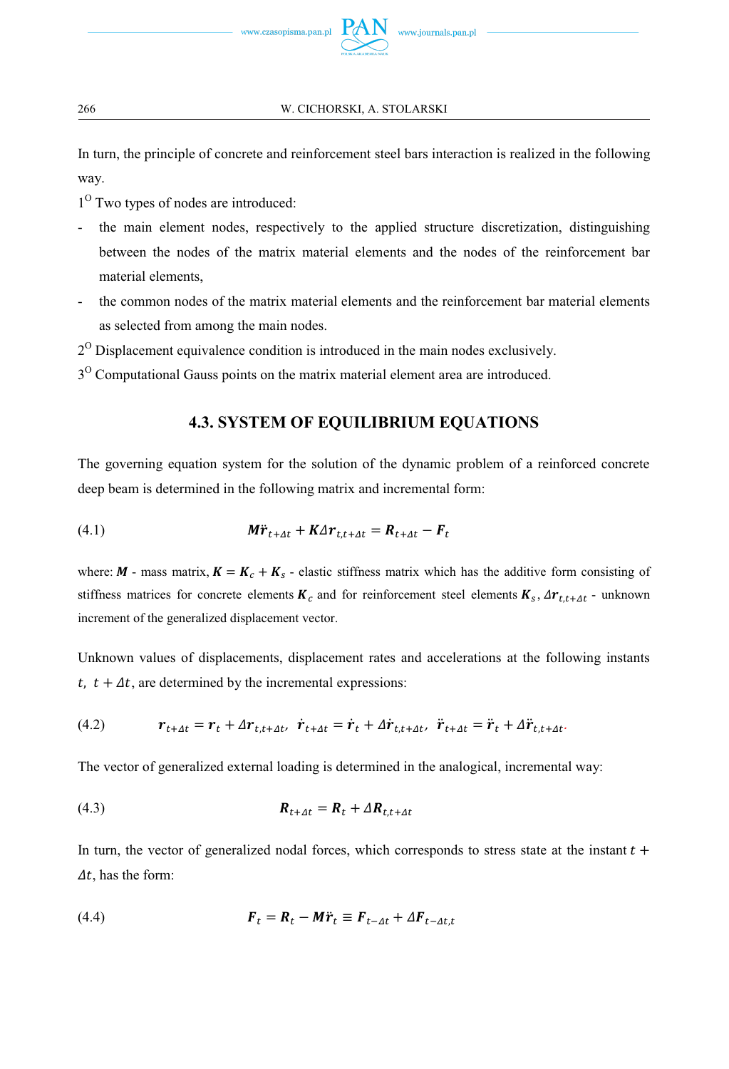In turn, the principle of concrete and reinforcement steel bars interaction is realized in the following way.

- 1<sup>O</sup> Two types of nodes are introduced:
- the main element nodes, respectively to the applied structure discretization, distinguishing between the nodes of the matrix material elements and the nodes of the reinforcement bar material elements,
- the common nodes of the matrix material elements and the reinforcement bar material elements as selected from among the main nodes.
- $2^{\circ}$  Displacement equivalence condition is introduced in the main nodes exclusively.
- $3<sup>0</sup>$  Computational Gauss points on the matrix material element area are introduced.

## **4.3. SYSTEM OF EQUILIBRIUM EQUATIONS**

The governing equation system for the solution of the dynamic problem of a reinforced concrete deep beam is determined in the following matrix and incremental form:

(4.1) 
$$
\mathbf{M}\ddot{\mathbf{r}}_{t+\Delta t} + \mathbf{K}\Delta \mathbf{r}_{t,t+\Delta t} = \mathbf{R}_{t+\Delta t} - \mathbf{F}_t
$$

where:  $M$  - mass matrix,  $K = K_c + K_s$  - elastic stiffness matrix which has the additive form consisting of stiffness matrices for concrete elements  $K_c$  and for reinforcement steel elements  $K_s$ ,  $\Delta r_{t,t+4t}$  - unknown increment of the generalized displacement vector.

Unknown values of displacements, displacement rates and accelerations at the following instants t,  $t + \Delta t$ , are determined by the incremental expressions:

(4.2) ࢘௧ା௱௧ ൌ ࢘௧ ࢘߂௧ǡ௧ା௱௧ǡ࢘ሶ ௧ା௱௧ ൌ ࢘ሶ <sup>௧</sup> ࢘߂ሶ ௧ǡ௧ା௱௧ǡ࢘ሷ ௧ା௱௧ ൌ ࢘ሷ <sup>௧</sup> ࢘߂ሷ ௧ǡ௧ା௱௧Ǥ

The vector of generalized external loading is determined in the analogical, incremental way:

$$
R_{t+4t} = R_t + \Delta R_{t,t+4t}
$$

In turn, the vector of generalized nodal forces, which corresponds to stress state at the instant  $t +$  $\Delta t$ , has the form:

(4.4) ࡲ௧ ൌ ࡾ௧ െ ࢘ࡹሷ <sup>௧</sup> ؠ ࡲ௧ି௱௧ ࡲ߂௧ି௱௧ǡ௧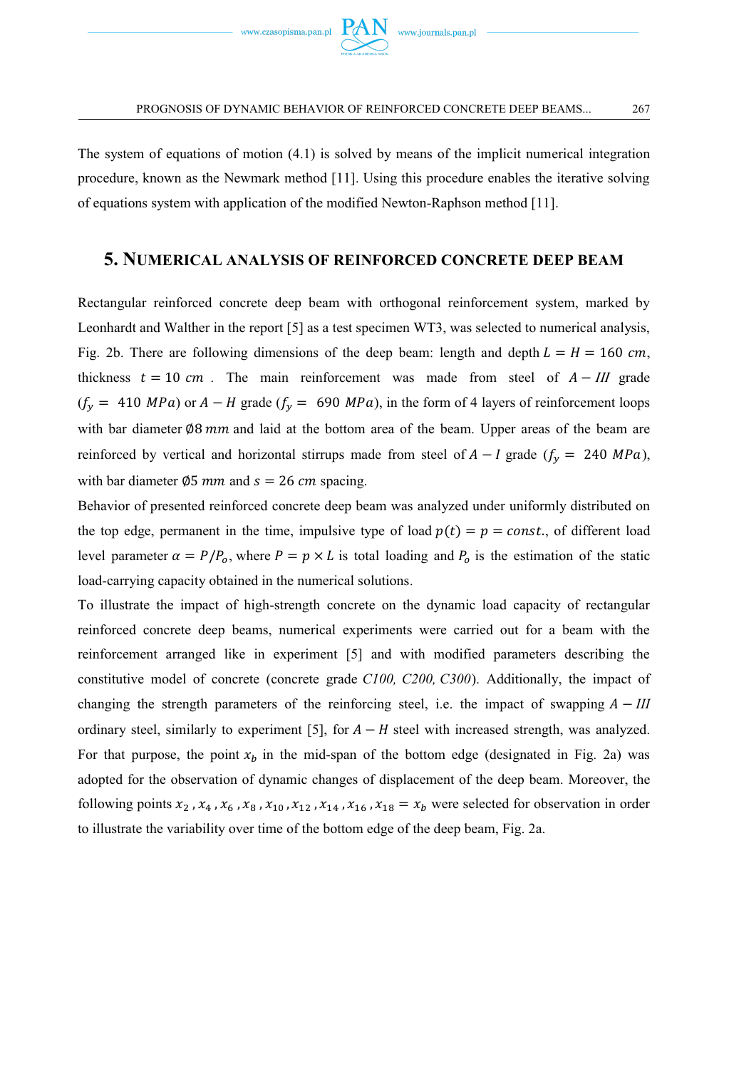The system of equations of motion (4.1) is solved by means of the implicit numerical integration procedure, known as the Newmark method [11]. Using this procedure enables the iterative solving of equations system with application of the modified Newton-Raphson method [11].

## **5. NUMERICAL ANALYSIS OF REINFORCED CONCRETE DEEP BEAM**

Rectangular reinforced concrete deep beam with orthogonal reinforcement system, marked by Leonhardt and Walther in the report [5] as a test specimen WT3, was selected to numerical analysis, Fig. 2b. There are following dimensions of the deep beam: length and depth  $L = H = 160$  cm, thickness  $t = 10$  cm. The main reinforcement was made from steel of  $A - III$  grade  $(f_y = 410 \text{ MPa})$  or  $A - H$  grade  $(f_y = 690 \text{ MPa})$ , in the form of 4 layers of reinforcement loops with bar diameter  $\varnothing$ 8 mm and laid at the bottom area of the beam. Upper areas of the beam are reinforced by vertical and horizontal stirrups made from steel of  $A - I$  grade ( $f_y = 240 MPa$ ), with bar diameter  $\varnothing$ 5 mm and  $s = 26$  cm spacing.

Behavior of presented reinforced concrete deep beam was analyzed under uniformly distributed on the top edge, permanent in the time, impulsive type of load  $p(t) = p = const.$ , of different load level parameter  $\alpha = P/P_o$ , where  $P = p \times L$  is total loading and  $P_o$  is the estimation of the static load-carrying capacity obtained in the numerical solutions.

To illustrate the impact of high-strength concrete on the dynamic load capacity of rectangular reinforced concrete deep beams, numerical experiments were carried out for a beam with the reinforcement arranged like in experiment [5] and with modified parameters describing the constitutive model of concrete (concrete grade *C100, C200, C300*). Additionally, the impact of changing the strength parameters of the reinforcing steel, i.e. the impact of swapping  $A - III$ ordinary steel, similarly to experiment [5], for  $A - H$  steel with increased strength, was analyzed. For that purpose, the point  $x<sub>b</sub>$  in the mid-span of the bottom edge (designated in Fig. 2a) was adopted for the observation of dynamic changes of displacement of the deep beam. Moreover, the following points  $x_2$ ,  $x_4$ ,  $x_6$ ,  $x_8$ ,  $x_{10}$ ,  $x_{12}$ ,  $x_{14}$ ,  $x_{16}$ ,  $x_{18} = x_b$  were selected for observation in order to illustrate the variability over time of the bottom edge of the deep beam, Fig. 2a.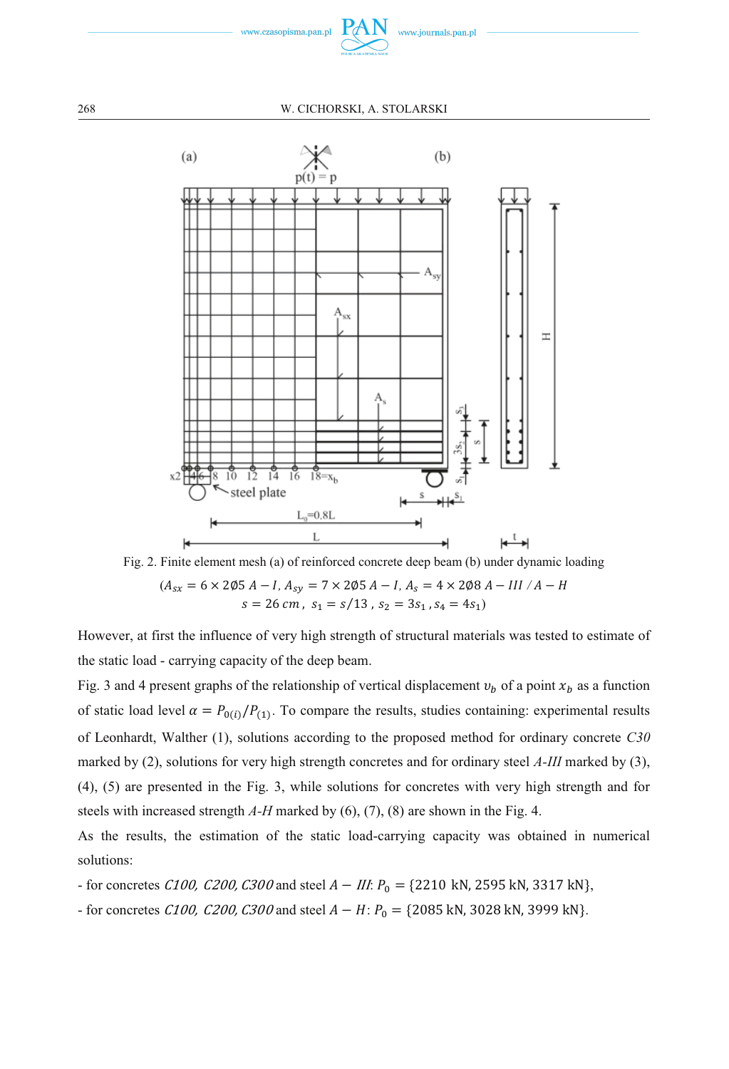



Fig. 2. Finite element mesh (a) of reinforced concrete deep beam (b) under dynamic loading  $(A_{sx} = 6 \times 205 A - I, A_{sy} = 7 \times 205 A - I, A_s = 4 \times 208 A - III / A - H$  $s = 26 \, \text{cm}$ ,  $s_1 = s/13$ ,  $s_2 = 3s_1$ ,  $s_4 = 4s_1$ )

However, at first the influence of very high strength of structural materials was tested to estimate of the static load - carrying capacity of the deep beam.

Fig. 3 and 4 present graphs of the relationship of vertical displacement  $v_b$  of a point  $x_b$  as a function of static load level  $\alpha = P_{0(i)}/P_{(1)}$ . To compare the results, studies containing: experimental results of Leonhardt, Walther (1), solutions according to the proposed method for ordinary concrete *C30* marked by (2), solutions for very high strength concretes and for ordinary steel *A-III* marked by (3), (4), (5) are presented in the Fig. 3, while solutions for concretes with very high strength and for steels with increased strength *A-H* marked by (6), (7), (8) are shown in the Fig. 4.

As the results, the estimation of the static load-carrying capacity was obtained in numerical solutions:

- for concretes C100, C200, C300 and steel  $A - III$ :  $P_0 = \{2210 \text{ kN}, 2595 \text{ kN}, 3317 \text{ kN}\},$ 

- for concretes C100, C200, C300 and steel  $A - H: P_0 = \{2085 \text{ kN}, 3028 \text{ kN}, 3999 \text{ kN}\}.$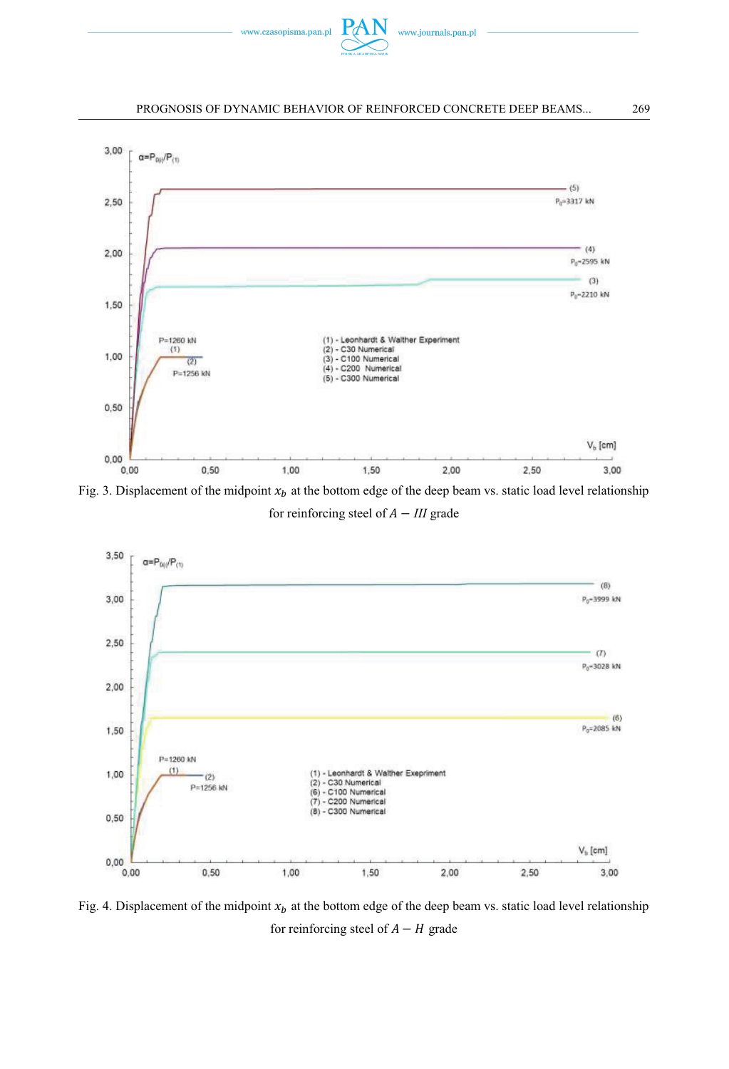



Fig. 3. Displacement of the midpoint  $x<sub>b</sub>$  at the bottom edge of the deep beam vs. static load level relationship for reinforcing steel of  $A - III$  grade



Fig. 4. Displacement of the midpoint  $x_b$  at the bottom edge of the deep beam vs. static load level relationship for reinforcing steel of  $A - H$  grade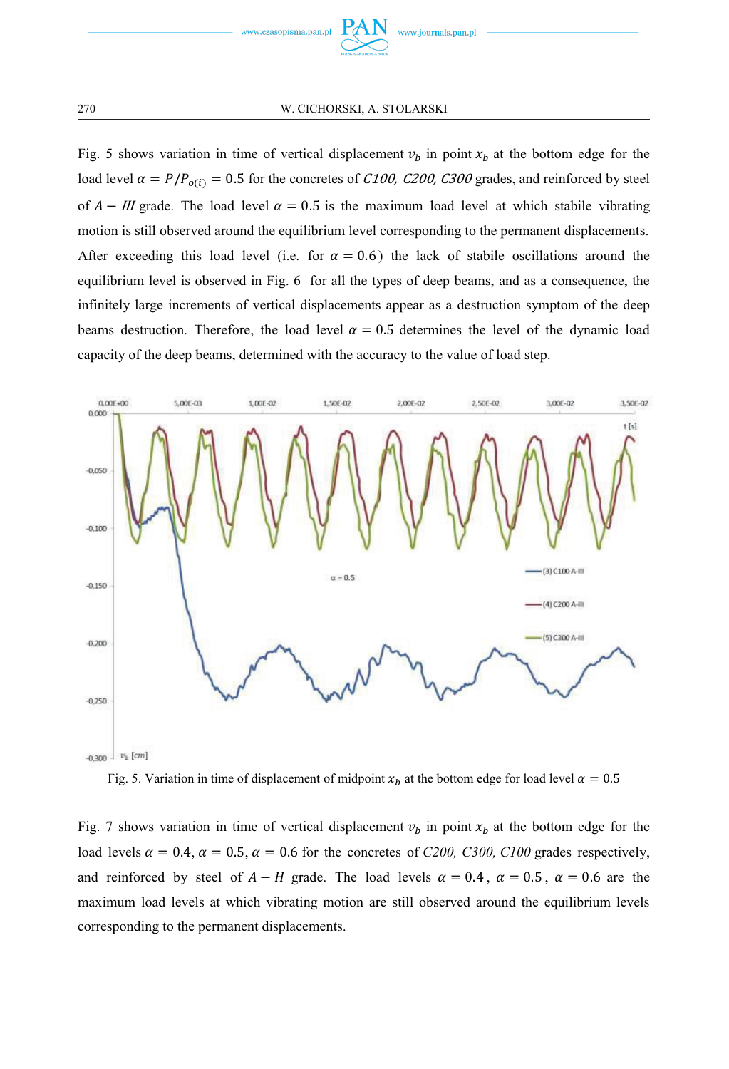

Fig. 5 shows variation in time of vertical displacement  $v_b$  in point  $x_b$  at the bottom edge for the load level  $\alpha = P/P_{o(i)} = 0.5$  for the concretes of *C100, C200, C300* grades, and reinforced by steel of  $A - III$  grade. The load level  $\alpha = 0.5$  is the maximum load level at which stabile vibrating motion is still observed around the equilibrium level corresponding to the permanent displacements. After exceeding this load level (i.e. for  $\alpha = 0.6$ ) the lack of stabile oscillations around the equilibrium level is observed in Fig. 6 for all the types of deep beams, and as a consequence, the infinitely large increments of vertical displacements appear as a destruction symptom of the deep beams destruction. Therefore, the load level  $\alpha = 0.5$  determines the level of the dynamic load capacity of the deep beams, determined with the accuracy to the value of load step.



Fig. 5. Variation in time of displacement of midpoint  $x<sub>b</sub>$  at the bottom edge for load level  $\alpha = 0.5$ 

Fig. 7 shows variation in time of vertical displacement  $v_b$  in point  $x_b$  at the bottom edge for the load levels  $\alpha = 0.4$ ,  $\alpha = 0.5$ ,  $\alpha = 0.6$  for the concretes of *C200, C300, C100* grades respectively, and reinforced by steel of  $A - H$  grade. The load levels  $\alpha = 0.4$ ,  $\alpha = 0.5$ ,  $\alpha = 0.6$  are the maximum load levels at which vibrating motion are still observed around the equilibrium levels corresponding to the permanent displacements.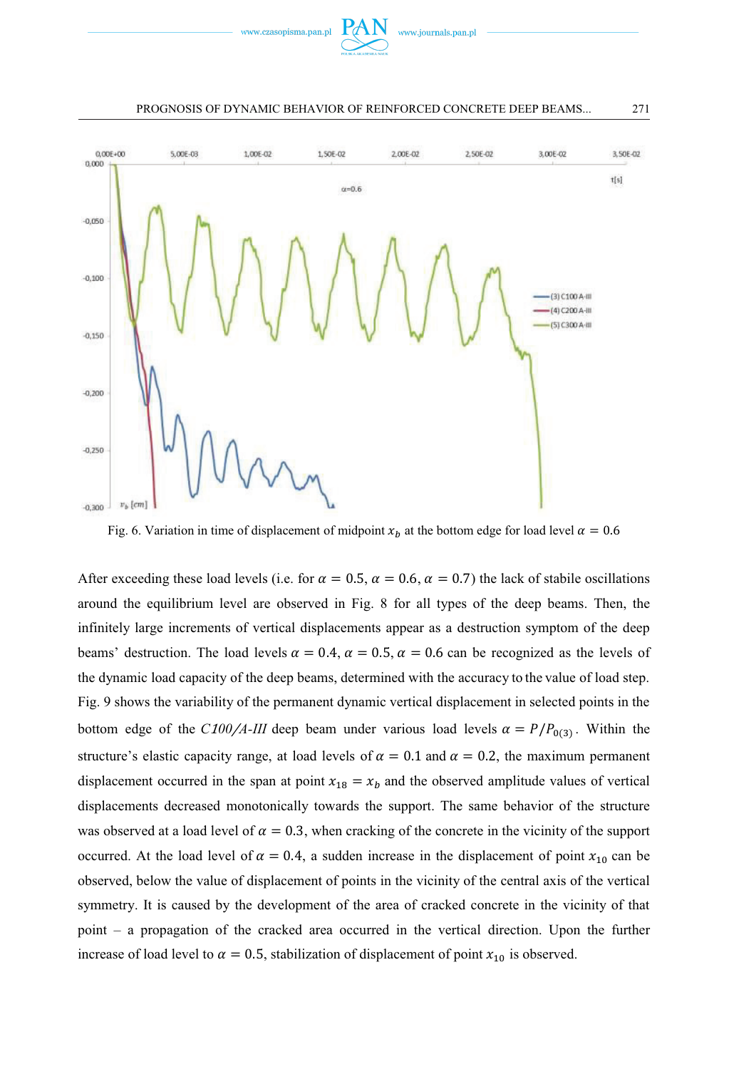



Fig. 6. Variation in time of displacement of midpoint  $x<sub>b</sub>$  at the bottom edge for load level  $\alpha = 0.6$ 

After exceeding these load levels (i.e. for  $\alpha = 0.5$ ,  $\alpha = 0.6$ ,  $\alpha = 0.7$ ) the lack of stabile oscillations around the equilibrium level are observed in Fig. 8 for all types of the deep beams. Then, the infinitely large increments of vertical displacements appear as a destruction symptom of the deep beams' destruction. The load levels  $\alpha = 0.4$ ,  $\alpha = 0.5$ ,  $\alpha = 0.6$  can be recognized as the levels of the dynamic load capacity of the deep beams, determined with the accuracy to the value of load step. Fig. 9 shows the variability of the permanent dynamic vertical displacement in selected points in the bottom edge of the *C*100/*A*-*III* deep beam under various load levels  $\alpha = P/P_{0(3)}$ . Within the structure's elastic capacity range, at load levels of  $\alpha = 0.1$  and  $\alpha = 0.2$ , the maximum permanent displacement occurred in the span at point  $x_{18} = x_b$  and the observed amplitude values of vertical displacements decreased monotonically towards the support. The same behavior of the structure was observed at a load level of  $\alpha = 0.3$ , when cracking of the concrete in the vicinity of the support occurred. At the load level of  $\alpha = 0.4$ , a sudden increase in the displacement of point  $x_{10}$  can be observed, below the value of displacement of points in the vicinity of the central axis of the vertical symmetry. It is caused by the development of the area of cracked concrete in the vicinity of that point – a propagation of the cracked area occurred in the vertical direction. Upon the further increase of load level to  $\alpha = 0.5$ , stabilization of displacement of point  $x_{10}$  is observed.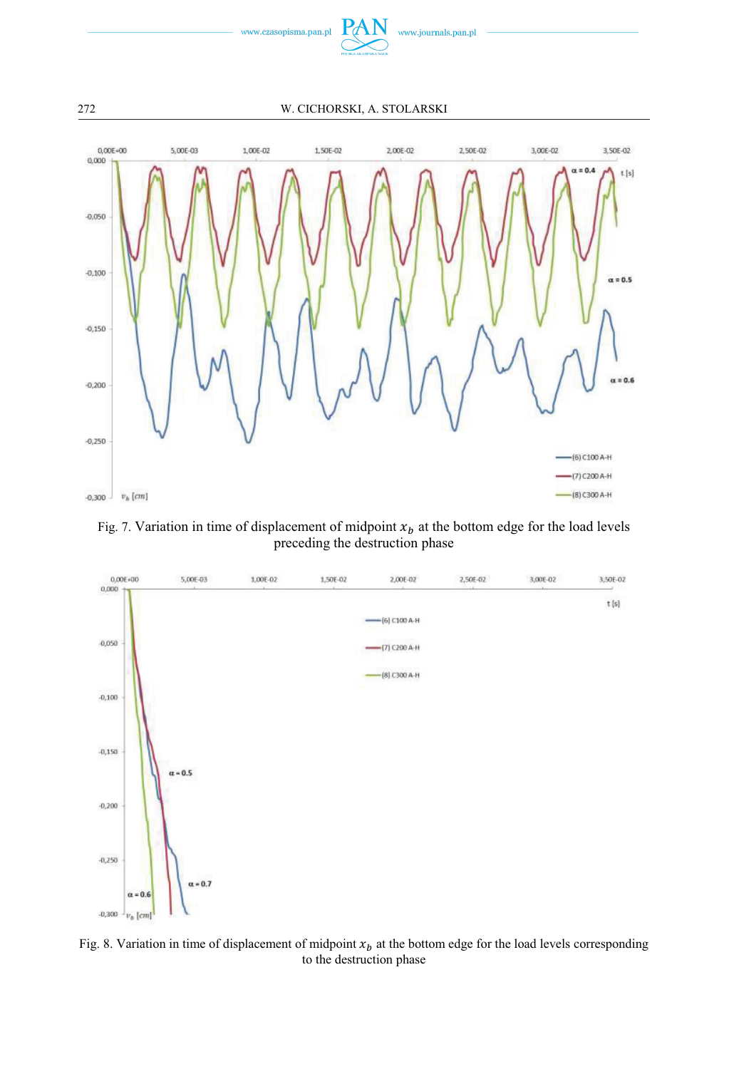



Fig. 7. Variation in time of displacement of midpoint  $x_b$  at the bottom edge for the load levels preceding the destruction phase



Fig. 8. Variation in time of displacement of midpoint  $x_b$  at the bottom edge for the load levels corresponding to the destruction phase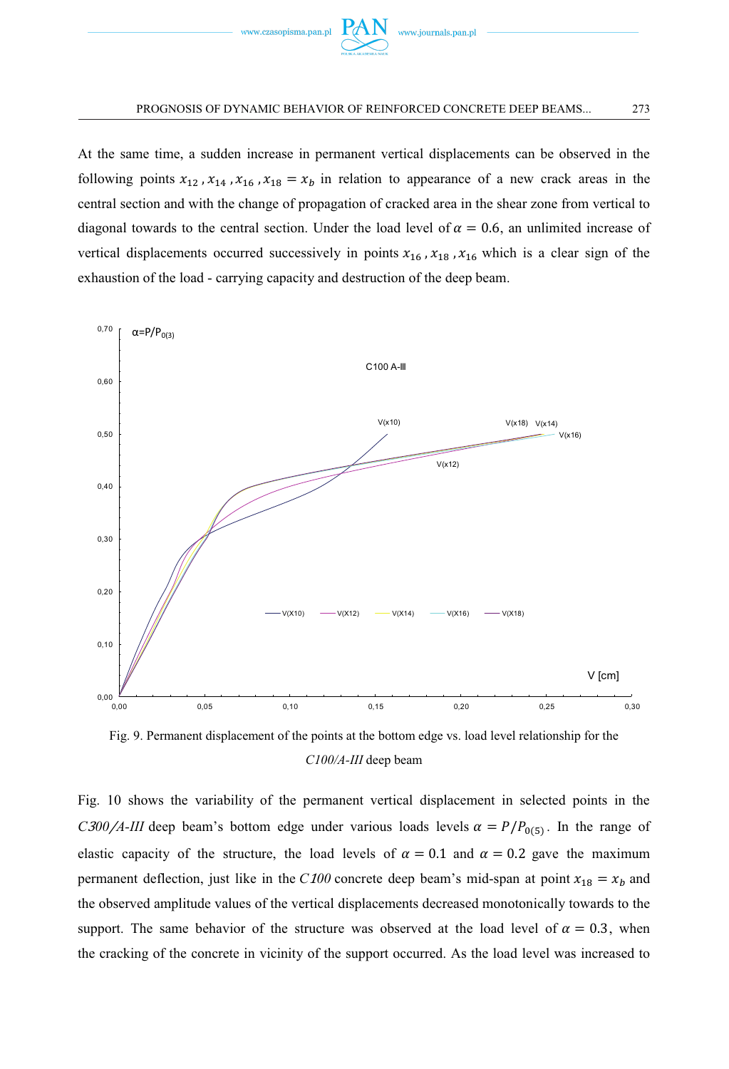

At the same time, a sudden increase in permanent vertical displacements can be observed in the following points  $x_{12}$ ,  $x_{14}$ ,  $x_{16}$ ,  $x_{18} = x_b$  in relation to appearance of a new crack areas in the central section and with the change of propagation of cracked area in the shear zone from vertical to diagonal towards to the central section. Under the load level of  $\alpha = 0.6$ , an unlimited increase of vertical displacements occurred successively in points  $x_{16}$ ,  $x_{18}$ ,  $x_{16}$  which is a clear sign of the exhaustion of the load - carrying capacity and destruction of the deep beam.



Fig. 9. Permanent displacement of the points at the bottom edge vs. load level relationship for the *C100/A-III* deep beam

Fig. 10 shows the variability of the permanent vertical displacement in selected points in the *C* $300/A$ *-III* deep beam's bottom edge under various loads levels  $\alpha = P/P_{0.5}$ . In the range of elastic capacity of the structure, the load levels of  $\alpha = 0.1$  and  $\alpha = 0.2$  gave the maximum permanent deflection, just like in the *C100* concrete deep beam's mid-span at point  $x_{18} = x_b$  and the observed amplitude values of the vertical displacements decreased monotonically towards to the support. The same behavior of the structure was observed at the load level of  $\alpha = 0.3$ , when the cracking of the concrete in vicinity of the support occurred. As the load level was increased to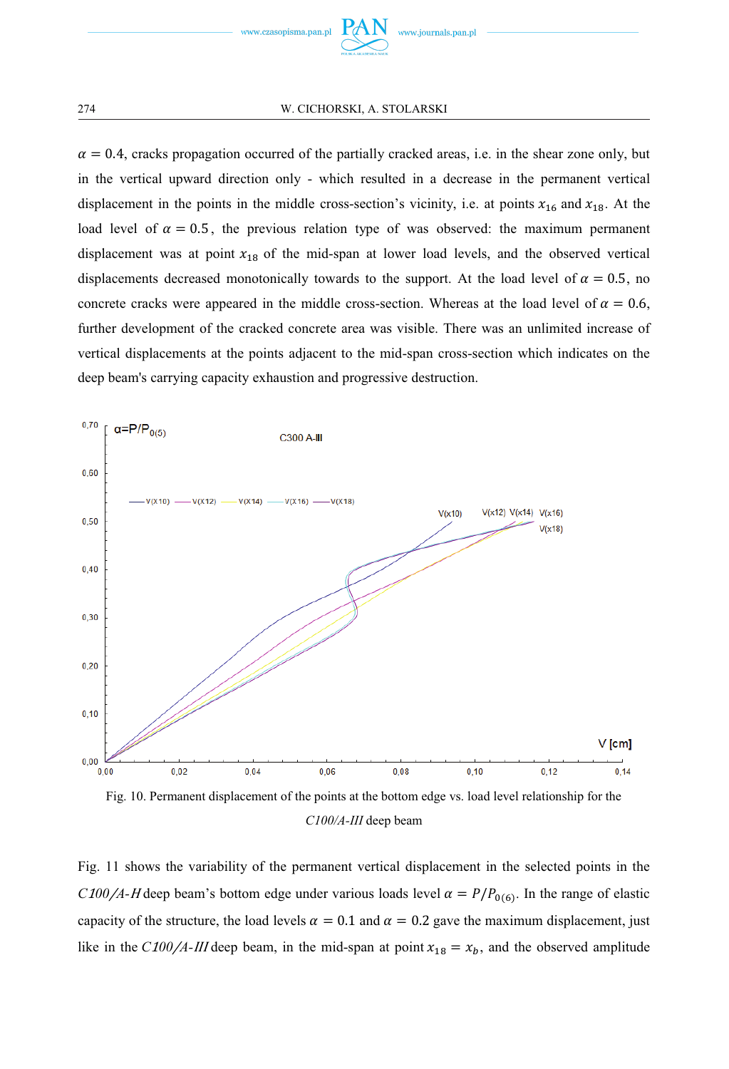

 $\alpha = 0.4$ , cracks propagation occurred of the partially cracked areas, i.e. in the shear zone only, but in the vertical upward direction only - which resulted in a decrease in the permanent vertical displacement in the points in the middle cross-section's vicinity, i.e. at points  $x_{16}$  and  $x_{18}$ . At the load level of  $\alpha = 0.5$ , the previous relation type of was observed: the maximum permanent displacement was at point  $x_{18}$  of the mid-span at lower load levels, and the observed vertical displacements decreased monotonically towards to the support. At the load level of  $\alpha = 0.5$ , no concrete cracks were appeared in the middle cross-section. Whereas at the load level of  $\alpha = 0.6$ , further development of the cracked concrete area was visible. There was an unlimited increase of vertical displacements at the points adjacent to the mid-span cross-section which indicates on the deep beam's carrying capacity exhaustion and progressive destruction.





Fig. 11 shows the variability of the permanent vertical displacement in the selected points in the *C* 100/ $A$ *-H* deep beam's bottom edge under various loads level  $\alpha = P/P_{0.6}$ . In the range of elastic capacity of the structure, the load levels  $\alpha = 0.1$  and  $\alpha = 0.2$  gave the maximum displacement, just like in the *C*100/*A*-III deep beam, in the mid-span at point  $x_{18} = x_b$ , and the observed amplitude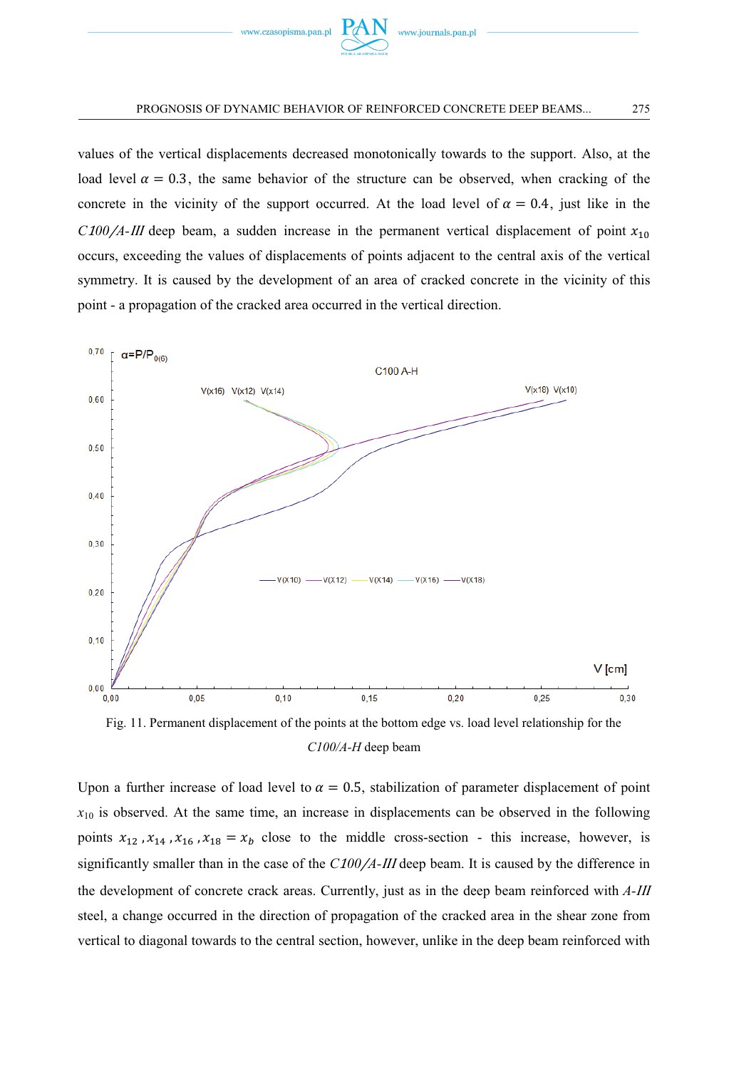

values of the vertical displacements decreased monotonically towards to the support. Also, at the load level  $\alpha = 0.3$ , the same behavior of the structure can be observed, when cracking of the concrete in the vicinity of the support occurred. At the load level of  $\alpha = 0.4$ , just like in the  $C100/A$ -III deep beam, a sudden increase in the permanent vertical displacement of point  $x_{10}$ occurs, exceeding the values of displacements of points adjacent to the central axis of the vertical symmetry. It is caused by the development of an area of cracked concrete in the vicinity of this point - a propagation of the cracked area occurred in the vertical direction.





Upon a further increase of load level to  $\alpha = 0.5$ , stabilization of parameter displacement of point  $x_{10}$  is observed. At the same time, an increase in displacements can be observed in the following points  $x_{12}$ ,  $x_{14}$ ,  $x_{16}$ ,  $x_{18} = x_b$  close to the middle cross-section - this increase, however, is significantly smaller than in the case of the  $C100/A$ -*III* deep beam. It is caused by the difference in the development of concrete crack areas. Currently, just as in the deep beam reinforced with *A* steel, a change occurred in the direction of propagation of the cracked area in the shear zone from vertical to diagonal towards to the central section, however, unlike in the deep beam reinforced with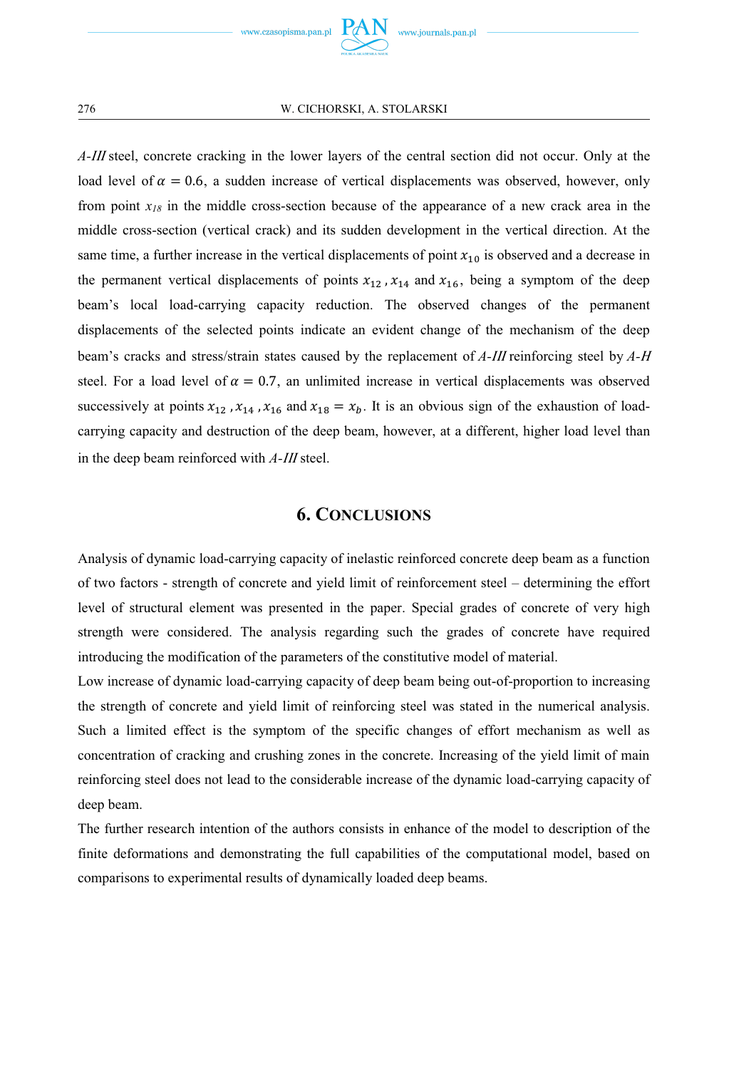*A*-III steel, concrete cracking in the lower layers of the central section did not occur. Only at the load level of  $\alpha = 0.6$ , a sudden increase of vertical displacements was observed, however, only from point  $x_{18}$  in the middle cross-section because of the appearance of a new crack area in the middle cross-section (vertical crack) and its sudden development in the vertical direction. At the same time, a further increase in the vertical displacements of point  $x_{10}$  is observed and a decrease in the permanent vertical displacements of points  $x_{12}$ ,  $x_{14}$  and  $x_{16}$ , being a symptom of the deep beam's local load-carrying capacity reduction. The observed changes of the permanent displacements of the selected points indicate an evident change of the mechanism of the deep beam's cracks and stress/strain states caused by the replacement of *A*-III reinforcing steel by *A*-H steel. For a load level of  $\alpha = 0.7$ , an unlimited increase in vertical displacements was observed successively at points  $x_{12}$ ,  $x_{14}$ ,  $x_{16}$  and  $x_{18} = x_b$ . It is an obvious sign of the exhaustion of loadcarrying capacity and destruction of the deep beam, however, at a different, higher load level than in the deep beam reinforced with *A*-*III* steel.

## **6. CONCLUSIONS**

Analysis of dynamic load-carrying capacity of inelastic reinforced concrete deep beam as a function of two factors - strength of concrete and yield limit of reinforcement steel – determining the effort level of structural element was presented in the paper. Special grades of concrete of very high strength were considered. The analysis regarding such the grades of concrete have required introducing the modification of the parameters of the constitutive model of material.

Low increase of dynamic load-carrying capacity of deep beam being out-of-proportion to increasing the strength of concrete and yield limit of reinforcing steel was stated in the numerical analysis. Such a limited effect is the symptom of the specific changes of effort mechanism as well as concentration of cracking and crushing zones in the concrete. Increasing of the yield limit of main reinforcing steel does not lead to the considerable increase of the dynamic load-carrying capacity of deep beam.

The further research intention of the authors consists in enhance of the model to description of the finite deformations and demonstrating the full capabilities of the computational model, based on comparisons to experimental results of dynamically loaded deep beams.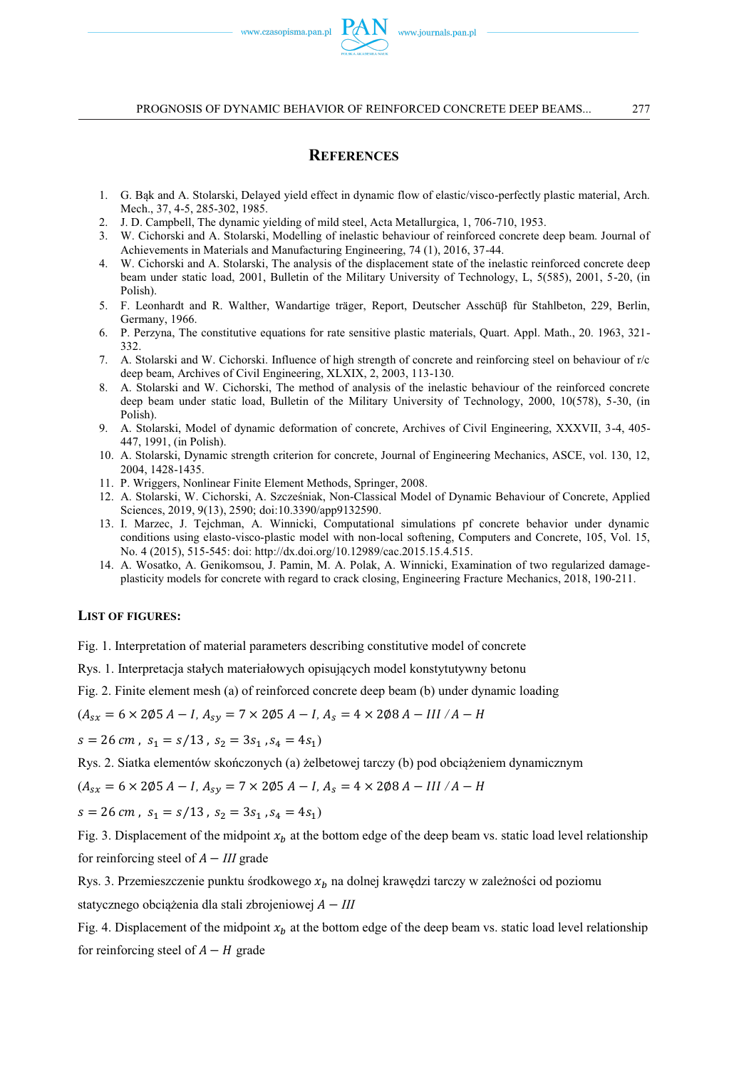#### **REFERENCES**

- 1. G. Bąk and A. Stolarski, Delayed yield effect in dynamic flow of elastic/visco-perfectly plastic material, Arch. Mech., 37, 4-5, 285-302, 1985.
- 2. J. D. Campbell, The dynamic yielding of mild steel, Acta Metallurgica, 1, 706-710, 1953.
- 3. W. Cichorski and A. Stolarski, Modelling of inelastic behaviour of reinforced concrete deep beam. Journal of Achievements in Materials and Manufacturing Engineering, 74 (1), 2016, 37-44.
- 4. W. Cichorski and A. Stolarski, The analysis of the displacement state of the inelastic reinforced concrete deep beam under static load, 2001, Bulletin of the Military University of Technology, L, 5(585), 2001, 5-20, (in Polish).
- 5. F. Leonhardt and R. Walther, Wandartige träger, Report, Deutscher Asschüß für Stahlbeton, 229, Berlin, Germany, 1966.
- 6. P. Perzyna, The constitutive equations for rate sensitive plastic materials, Quart. Appl. Math., 20. 1963, 321- 332.
- 7. A. Stolarski and W. Cichorski. Influence of high strength of concrete and reinforcing steel on behaviour of r/c deep beam, Archives of Civil Engineering, XLXIX, 2, 2003, 113-130.
- 8. A. Stolarski and W. Cichorski, The method of analysis of the inelastic behaviour of the reinforced concrete deep beam under static load, Bulletin of the Military University of Technology, 2000, 10(578), 5-30, (in Polish).
- 9. A. Stolarski, Model of dynamic deformation of concrete, Archives of Civil Engineering, XXXVII, 3-4, 405- 447, 1991, (in Polish).
- 10. A. Stolarski, Dynamic strength criterion for concrete, Journal of Engineering Mechanics, ASCE, vol. 130, 12, 2004, 1428-1435.
- 11. P. Wriggers, Nonlinear Finite Element Methods, Springer, 2008.
- 12. A. Stolarski, W. Cichorski, A. Szcześniak, Non-Classical Model of Dynamic Behaviour of Concrete, Applied Sciences, 2019, 9(13), 2590; doi:10.3390/app9132590.
- 13. I. Marzec, J. Tejchman, A. Winnicki, Computational simulations pf concrete behavior under dynamic conditions using elasto-visco-plastic model with non-local softening, Computers and Concrete, 105, Vol. 15, No. 4 (2015), 515-545: doi: http://dx.doi.org/10.12989/cac.2015.15.4.515.
- 14. A. Wosatko, A. Genikomsou, J. Pamin, M. A. Polak, A. Winnicki, Examination of two regularized damageplasticity models for concrete with regard to crack closing, Engineering Fracture Mechanics, 2018, 190-211.

#### **LIST OF FIGURES:**

Fig. 1. Interpretation of material parameters describing constitutive model of concrete

Rys. 1. Interpretacja stałych materiałowych opisujących model konstytutywny betonu

Fig. 2. Finite element mesh (a) of reinforced concrete deep beam (b) under dynamic loading

$$
(A_{sx} = 6 \times 2\emptyset 5 A - I, A_{sy} = 7 \times 2\emptyset 5 A - I, A_s = 4 \times 2\emptyset 8 A - III / A - H
$$

 $s = 26$  cm,  $s_1 = s/13$ ,  $s_2 = 3s_1$ ,  $s_4 = 4s_1$ 

Rys. 2. Siatka elementów skończonych (a) żelbetowej tarczy (b) pod obciążeniem dynamicznym

 $(A_{sx} = 6 \times 205 A - I, A_{sy} = 7 \times 205 A - I, A_{s} = 4 \times 208 A - III / A - H$ 

 $s = 26$  cm,  $s_1 = s/13$ ,  $s_2 = 3s_1$ ,  $s_4 = 4s_1$ 

Fig. 3. Displacement of the midpoint  $x<sub>b</sub>$  at the bottom edge of the deep beam vs. static load level relationship for reinforcing steel of  $A - III$  grade

Rys. 3. Przemieszczenie punktu środkowego  $x<sub>b</sub>$  na dolnej krawędzi tarczy w zależności od poziomu statycznego obciążenia dla stali zbrojeniowej  $A - III$ 

Fig. 4. Displacement of the midpoint  $x<sub>b</sub>$  at the bottom edge of the deep beam vs. static load level relationship for reinforcing steel of  $A - H$  grade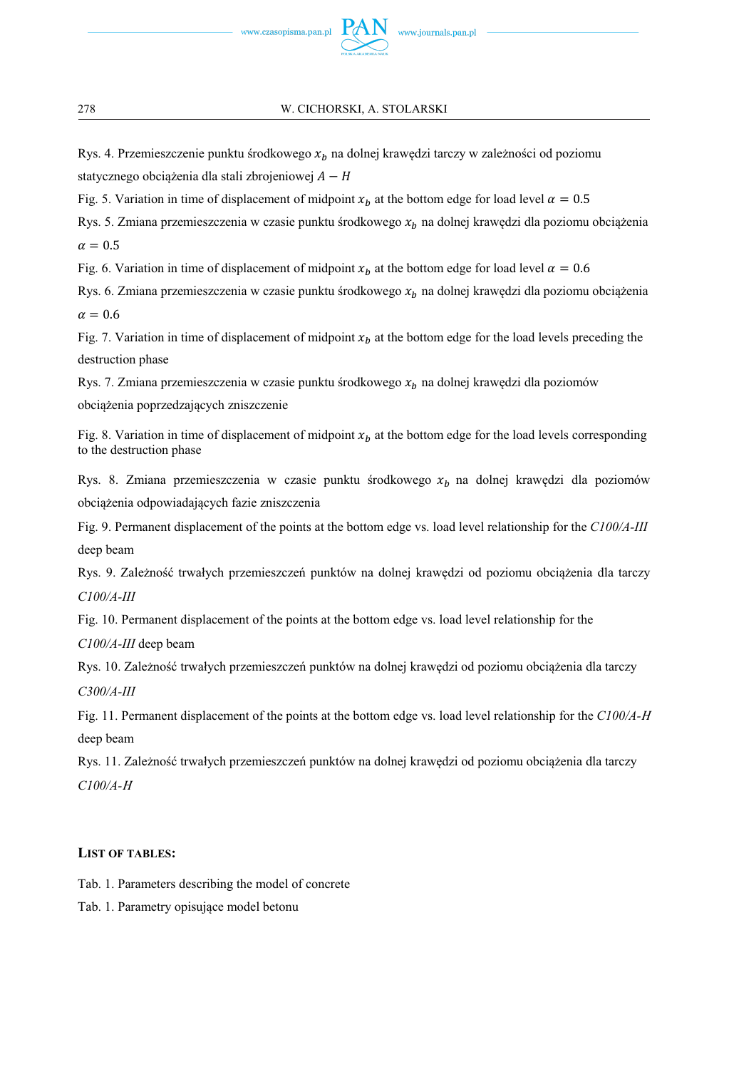Rys. 4. Przemieszczenie punktu środkowego  $x<sub>b</sub>$  na dolnej krawędzi tarczy w zależności od poziomu statycznego obciążenia dla stali zbrojeniowej  $A - H$ 

Fig. 5. Variation in time of displacement of midpoint  $x_b$  at the bottom edge for load level  $\alpha = 0.5$ 

Rys. 5. Zmiana przemieszczenia w czasie punktu środkowego  $x<sub>b</sub>$  na dolnej krawędzi dla poziomu obciążenia  $\alpha = 0.5$ 

Fig. 6. Variation in time of displacement of midpoint  $x<sub>b</sub>$  at the bottom edge for load level  $\alpha = 0.6$ 

Rys. 6. Zmiana przemieszczenia w czasie punktu środkowego  $x<sub>b</sub>$  na dolnej krawędzi dla poziomu obciążenia  $\alpha = 0.6$ 

Fig. 7. Variation in time of displacement of midpoint  $x<sub>b</sub>$  at the bottom edge for the load levels preceding the destruction phase

Rys. 7. Zmiana przemieszczenia w czasie punktu środkowego  $x_b$  na dolnej krawędzi dla poziomów

obciążenia poprzedzających zniszczenie

Fig. 8. Variation in time of displacement of midpoint  $x_b$  at the bottom edge for the load levels corresponding to the destruction phase

Rys. 8. Zmiana przemieszczenia w czasie punktu środkowego  $x<sub>b</sub>$  na dolnej krawędzi dla poziomów obciążenia odpowiadających fazie zniszczenia

Fig. 9. Permanent displacement of the points at the bottom edge vs. load level relationship for the *C100/A-III* deep beam

Rys. 9. Zależność trwałych przemieszczeń punktów na dolnej krawędzi od poziomu obciążenia dla tarczy *C100/A-III*

Fig. 10. Permanent displacement of the points at the bottom edge vs. load level relationship for the

*C100/A-III* deep beam

Rys. 10. Zależność trwałych przemieszczeń punktów na dolnej krawędzi od poziomu obciążenia dla tarczy *C300/A-III*

Fig. 11. Permanent displacement of the points at the bottom edge vs. load level relationship for the *C100/A* deep beam

Rys. 11. Zależność trwałych przemieszczeń punktów na dolnej krawędzi od poziomu obciążenia dla tarczy *C100/A-*

## **LIST OF TABLES:**

Tab. 1. Parameters describing the model of concrete

Tab. 1. Parametry opisujące model betonu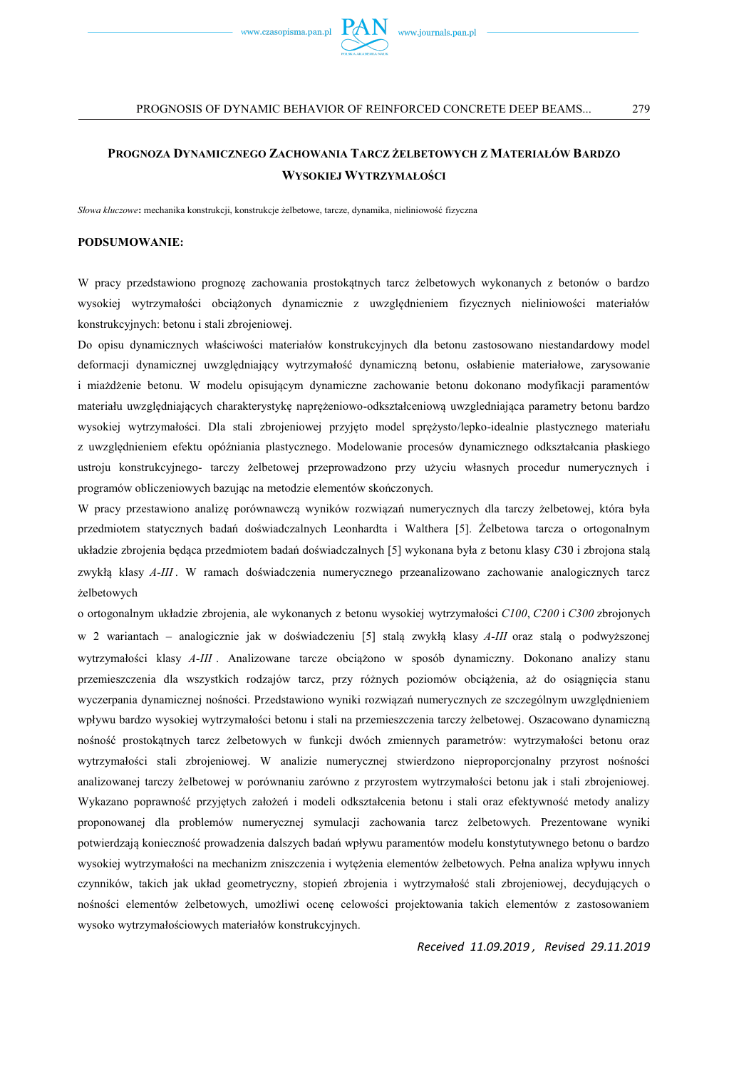

*Słowa kluczowe***:** mechanika konstrukcji, konstrukcje żelbetowe, tarcze, dynamika, nieliniowość fizyczna

#### **PODSUMOWANIE:**

W pracy przedstawiono prognozę zachowania prostokątnych tarcz żelbetowych wykonanych z betonów o bardzo wysokiej wytrzymałości obciążonych dynamicznie z uwzględnieniem fizycznych nieliniowości materiałów konstrukcyjnych: betonu i stali zbrojeniowej.

Do opisu dynamicznych właściwości materiałów konstrukcyjnych dla betonu zastosowano niestandardowy model deformacji dynamicznej uwzględniający wytrzymałość dynamiczną betonu, osłabienie materiałowe, zarysowanie i miażdżenie betonu. W modelu opisującym dynamiczne zachowanie betonu dokonano modyfikacji paramentów materiału uwzględniających charakterystykę naprężeniowo-odkształceniową uwzgledniająca parametry betonu bardzo wysokiej wytrzymałości. Dla stali zbrojeniowej przyjęto model sprężysto/lepko-idealnie plastycznego materiału z uwzględnieniem efektu opóźniania plastycznego. Modelowanie procesów dynamicznego odkształcania płaskiego ustroju konstrukcyjnego- tarczy żelbetowej przeprowadzono przy użyciu własnych procedur numerycznych i programów obliczeniowych bazując na metodzie elementów skończonych.

W pracy przestawiono analizę porównawczą wyników rozwiązań numerycznych dla tarczy żelbetowej, która była przedmiotem statycznych badań doświadczalnych Leonhardta i Walthera [5]. Żelbetowa tarcza o ortogonalnym układzie zbrojenia będąca przedmiotem badań doświadczalnych [5] wykonana była z betonu klasy C30 i zbrojona stalą zwykłą klasy *A-III* . W ramach doświadczenia numerycznego przeanalizowano zachowanie analogicznych tarcz żelbetowych

o ortogonalnym układzie zbrojenia, ale wykonanych z betonu wysokiej wytrzymałości *C100*, *C200* i *C300* zbrojonych w 2 wariantach – analogicznie jak w doświadczeniu [5] stalą zwykłą klasy *A-III* oraz stalą o podwyższonej wytrzymałości klasy *A-III* . Analizowane tarcze obciążono w sposób dynamiczny. Dokonano analizy stanu przemieszczenia dla wszystkich rodzajów tarcz, przy różnych poziomów obciążenia, aż do osiągnięcia stanu wyczerpania dynamicznej nośności. Przedstawiono wyniki rozwiązań numerycznych ze szczególnym uwzględnieniem wpływu bardzo wysokiej wytrzymałości betonu i stali na przemieszczenia tarczy żelbetowej. Oszacowano dynamiczną nośność prostokątnych tarcz żelbetowych w funkcji dwóch zmiennych parametrów: wytrzymałości betonu oraz wytrzymałości stali zbrojeniowej. W analizie numerycznej stwierdzono nieproporcjonalny przyrost nośności analizowanej tarczy żelbetowej w porównaniu zarówno z przyrostem wytrzymałości betonu jak i stali zbrojeniowej. Wykazano poprawność przyjętych założeń i modeli odkształcenia betonu i stali oraz efektywność metody analizy proponowanej dla problemów numerycznej symulacji zachowania tarcz żelbetowych. Prezentowane wyniki potwierdzają konieczność prowadzenia dalszych badań wpływu paramentów modelu konstytutywnego betonu o bardzo wysokiej wytrzymałości na mechanizm zniszczenia i wytężenia elementów żelbetowych. Pełna analiza wpływu innych czynników, takich jak układ geometryczny, stopień zbrojenia i wytrzymałość stali zbrojeniowej, decydujących o nośności elementów żelbetowych, umożliwi ocenę celowości projektowania takich elementów z zastosowaniem wysoko wytrzymałościowych materiałów konstrukcyjnych.

*Received 11.09.2019 , Revised 29.11.2019*